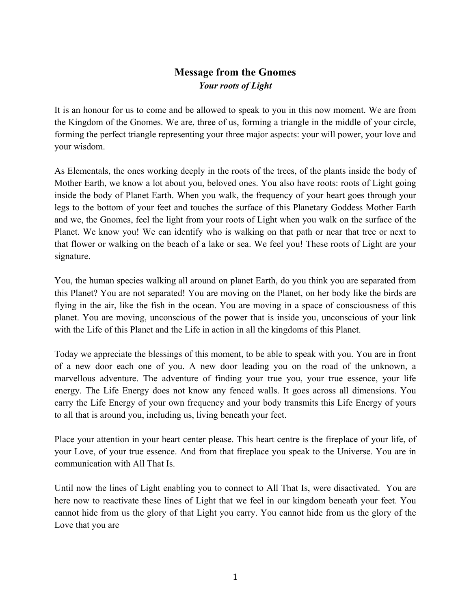## **Message from the Gnomes** *Your roots of Light*

It is an honour for us to come and be allowed to speak to you in this now moment. We are from the Kingdom of the Gnomes. We are, three of us, forming a triangle in the middle of your circle, forming the perfect triangle representing your three major aspects: your will power, your love and your wisdom.

As Elementals, the ones working deeply in the roots of the trees, of the plants inside the body of Mother Earth, we know a lot about you, beloved ones. You also have roots: roots of Light going inside the body of Planet Earth. When you walk, the frequency of your heart goes through your legs to the bottom of your feet and touches the surface of this Planetary Goddess Mother Earth and we, the Gnomes, feel the light from your roots of Light when you walk on the surface of the Planet. We know you! We can identify who is walking on that path or near that tree or next to that flower or walking on the beach of a lake or sea. We feel you! These roots of Light are your signature.

You, the human species walking all around on planet Earth, do you think you are separated from this Planet? You are not separated! You are moving on the Planet, on her body like the birds are flying in the air, like the fish in the ocean. You are moving in a space of consciousness of this planet. You are moving, unconscious of the power that is inside you, unconscious of your link with the Life of this Planet and the Life in action in all the kingdoms of this Planet.

Today we appreciate the blessings of this moment, to be able to speak with you. You are in front of a new door each one of you. A new door leading you on the road of the unknown, a marvellous adventure. The adventure of finding your true you, your true essence, your life energy. The Life Energy does not know any fenced walls. It goes across all dimensions. You carry the Life Energy of your own frequency and your body transmits this Life Energy of yours to all that is around you, including us, living beneath your feet.

Place your attention in your heart center please. This heart centre is the fireplace of your life, of your Love, of your true essence. And from that fireplace you speak to the Universe. You are in communication with All That Is.

Until now the lines of Light enabling you to connect to All That Is, were disactivated. You are here now to reactivate these lines of Light that we feel in our kingdom beneath your feet. You cannot hide from us the glory of that Light you carry. You cannot hide from us the glory of the Love that you are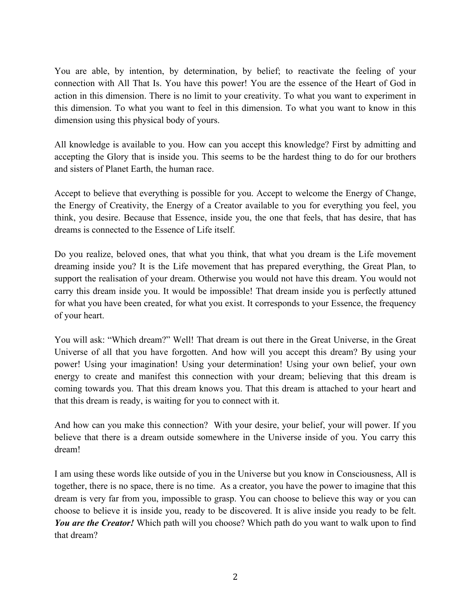You are able, by intention, by determination, by belief; to reactivate the feeling of your connection with All That Is. You have this power! You are the essence of the Heart of God in action in this dimension. There is no limit to your creativity. To what you want to experiment in this dimension. To what you want to feel in this dimension. To what you want to know in this dimension using this physical body of yours.

All knowledge is available to you. How can you accept this knowledge? First by admitting and accepting the Glory that is inside you. This seems to be the hardest thing to do for our brothers and sisters of Planet Earth, the human race.

Accept to believe that everything is possible for you. Accept to welcome the Energy of Change, the Energy of Creativity, the Energy of a Creator available to you for everything you feel, you think, you desire. Because that Essence, inside you, the one that feels, that has desire, that has dreams is connected to the Essence of Life itself.

Do you realize, beloved ones, that what you think, that what you dream is the Life movement dreaming inside you? It is the Life movement that has prepared everything, the Great Plan, to support the realisation of your dream. Otherwise you would not have this dream. You would not carry this dream inside you. It would be impossible! That dream inside you is perfectly attuned for what you have been created, for what you exist. It corresponds to your Essence, the frequency of your heart.

You will ask: "Which dream?" Well! That dream is out there in the Great Universe, in the Great Universe of all that you have forgotten. And how will you accept this dream? By using your power! Using your imagination! Using your determination! Using your own belief, your own energy to create and manifest this connection with your dream; believing that this dream is coming towards you. That this dream knows you. That this dream is attached to your heart and that this dream is ready, is waiting for you to connect with it.

And how can you make this connection? With your desire, your belief, your will power. If you believe that there is a dream outside somewhere in the Universe inside of you. You carry this dream!

I am using these words like outside of you in the Universe but you know in Consciousness, All is together, there is no space, there is no time. As a creator, you have the power to imagine that this dream is very far from you, impossible to grasp. You can choose to believe this way or you can choose to believe it is inside you, ready to be discovered. It is alive inside you ready to be felt. *You are the Creator!* Which path will you choose? Which path do you want to walk upon to find that dream?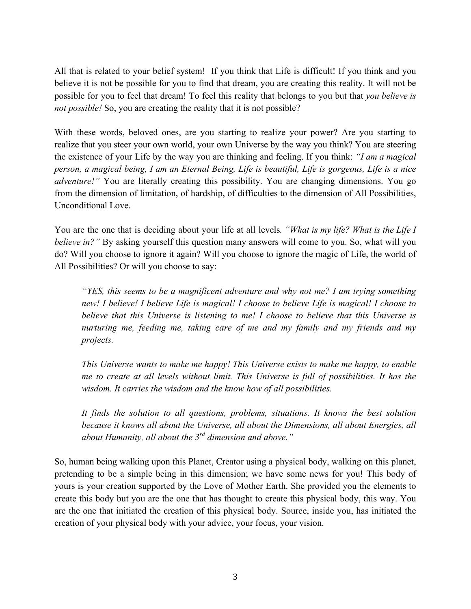All that is related to your belief system! If you think that Life is difficult! If you think and you believe it is not be possible for you to find that dream, you are creating this reality. It will not be possible for you to feel that dream! To feel this reality that belongs to you but that *you believe is not possible!* So, you are creating the reality that it is not possible?

With these words, beloved ones, are you starting to realize your power? Are you starting to realize that you steer your own world, your own Universe by the way you think? You are steering the existence of your Life by the way you are thinking and feeling. If you think: *"I am a magical person, a magical being, I am an Eternal Being, Life is beautiful, Life is gorgeous, Life is a nice adventure!"* You are literally creating this possibility. You are changing dimensions. You go from the dimension of limitation, of hardship, of difficulties to the dimension of All Possibilities, Unconditional Love.

You are the one that is deciding about your life at all levels*. "What is my life? What is the Life I believe in?"* By asking yourself this question many answers will come to you. So, what will you do? Will you choose to ignore it again? Will you choose to ignore the magic of Life, the world of All Possibilities? Or will you choose to say:

*"YES, this seems to be a magnificent adventure and why not me? I am trying something new! I believe! I believe Life is magical! I choose to believe Life is magical! I choose to believe that this Universe is listening to me! I choose to believe that this Universe is nurturing me, feeding me, taking care of me and my family and my friends and my projects.* 

*This Universe wants to make me happy! This Universe exists to make me happy, to enable me to create at all levels without limit. This Universe is full of possibilities. It has the wisdom. It carries the wisdom and the know how of all possibilities.* 

*It finds the solution to all questions, problems, situations. It knows the best solution because it knows all about the Universe, all about the Dimensions, all about Energies, all about Humanity, all about the 3rd dimension and above."* 

So, human being walking upon this Planet, Creator using a physical body, walking on this planet, pretending to be a simple being in this dimension; we have some news for you! This body of yours is your creation supported by the Love of Mother Earth. She provided you the elements to create this body but you are the one that has thought to create this physical body, this way. You are the one that initiated the creation of this physical body. Source, inside you, has initiated the creation of your physical body with your advice, your focus, your vision.